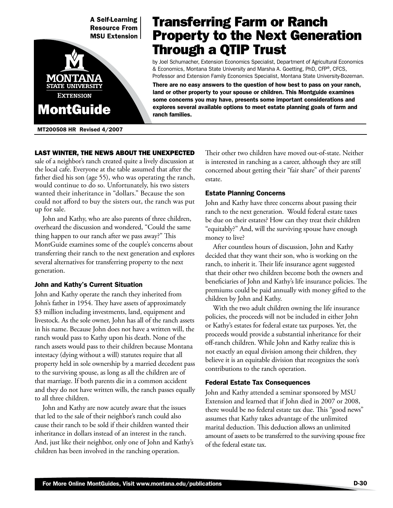

MT200508 HR Revised 4/2007

# Transferring Farm or Ranch Property to the Next Generation Through a QTIP Trust

by Joel Schumacher, Extension Economics Specialist, Department of Agricultural Economics & Economics, Montana State University and Marsha A. Goetting, PhD, CFP®, CFCS, Professor and Extension Family Economics Specialist, Montana State University-Bozeman.

There are no easy answers to the question of how best to pass on your ranch, land or other property to your spouse or children. This Montguide examines some concerns you may have, presents some important considerations and explores several available options to meet estate planning goals of farm and ranch families.

# Last winter, the news about the unexpected

sale of a neighbor's ranch created quite a lively discussion at the local cafe. Everyone at the table assumed that after the father died his son (age 55), who was operating the ranch, would continue to do so. Unfortunately, his two sisters wanted their inheritance in "dollars." Because the son could not afford to buy the sisters out, the ranch was put up for sale.

John and Kathy, who are also parents of three children, overheard the discussion and wondered, "Could the same thing happen to our ranch after we pass away?" This MontGuide examines some of the couple's concerns about transferring their ranch to the next generation and explores several alternatives for transferring property to the next generation.

# John and Kathy's Current Situation

John and Kathy operate the ranch they inherited from John's father in 1954. They have assets of approximately \$3 million including investments, land, equipment and livestock. As the sole owner, John has all of the ranch assets in his name. Because John does not have a written will, the ranch would pass to Kathy upon his death. None of the ranch assets would pass to their children because Montana intestacy (dying without a will) statutes require that all property held in sole ownership by a married decedent pass to the surviving spouse, as long as all the children are of that marriage. If both parents die in a common accident and they do not have written wills, the ranch passes equally to all three children.

John and Kathy are now acutely aware that the issues that led to the sale of their neighbor's ranch could also cause their ranch to be sold if their children wanted their inheritance in dollars instead of an interest in the ranch. And, just like their neighbor, only one of John and Kathy's children has been involved in the ranching operation.

Their other two children have moved out-of-state. Neither is interested in ranching as a career, although they are still concerned about getting their "fair share" of their parents' estate.

## Estate Planning Concerns

John and Kathy have three concerns about passing their ranch to the next generation. Would federal estate taxes be due on their estates? How can they treat their children "equitably?" And, will the surviving spouse have enough money to live?

After countless hours of discussion, John and Kathy decided that they want their son, who is working on the ranch, to inherit it. Their life insurance agent suggested that their other two children become both the owners and beneficiaries of John and Kathy's life insurance policies. The premiums could be paid annually with money gifted to the children by John and Kathy.

With the two adult children owning the life insurance policies, the proceeds will not be included in either John or Kathy's estates for federal estate tax purposes. Yet, the proceeds would provide a substantial inheritance for their off-ranch children. While John and Kathy realize this is not exactly an equal division among their children, they believe it is an equitable division that recognizes the son's contributions to the ranch operation.

# Federal Estate Tax Consequences

John and Kathy attended a seminar sponsored by MSU Extension and learned that if John died in 2007 or 2008, there would be no federal estate tax due. This "good news" assumes that Kathy takes advantage of the unlimited marital deduction. This deduction allows an unlimited amount of assets to be transferred to the surviving spouse free of the federal estate tax.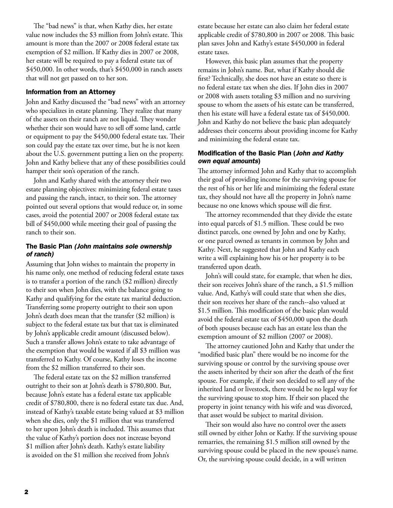The "bad news" is that, when Kathy dies, her estate value now includes the \$3 million from John's estate. This amount is more than the 2007 or 2008 federal estate tax exemption of \$2 million. If Kathy dies in 2007 or 2008, her estate will be required to pay a federal estate tax of \$450,000. In other words, that's \$450,000 in ranch assets that will not get passed on to her son.

#### Information from an Attorney

John and Kathy discussed the "bad news" with an attorney who specializes in estate planning. They realize that many of the assets on their ranch are not liquid. They wonder whether their son would have to sell off some land, cattle or equipment to pay the \$450,000 federal estate tax. Their son could pay the estate tax over time, but he is not keen about the U.S. government putting a lien on the property. John and Kathy believe that any of these possibilities could hamper their son's operation of the ranch.

John and Kathy shared with the attorney their two estate planning objectives: minimizing federal estate taxes and passing the ranch, intact, to their son. The attorney pointed out several options that would reduce or, in some cases, avoid the potential 2007 or 2008 federal estate tax bill of \$450,000 while meeting their goal of passing the ranch to their son.

## The Basic Plan *(John maintains sole ownership of ranch)*

Assuming that John wishes to maintain the property in his name only, one method of reducing federal estate taxes is to transfer a portion of the ranch (\$2 million) directly to their son when John dies, with the balance going to Kathy and qualifying for the estate tax marital deduction. Transferring some property outright to their son upon John's death does mean that the transfer (\$2 million) is subject to the federal estate tax but that tax is eliminated by John's applicable credit amount (discussed below). Such a transfer allows John's estate to take advantage of the exemption that would be wasted if all \$3 million was transferred to Kathy. Of course, Kathy loses the income from the \$2 million transferred to their son.

The federal estate tax on the \$2 million transferred outright to their son at John's death is \$780,800. But, because John's estate has a federal estate tax applicable credit of \$780,800, there is no federal estate tax due. And, instead of Kathy's taxable estate being valued at \$3 million when she dies, only the \$1 million that was transferred to her upon John's death is included. This assumes that the value of Kathy's portion does not increase beyond \$1 million after John's death. Kathy's estate liability is avoided on the \$1 million she received from John's

estate because her estate can also claim her federal estate applicable credit of \$780,800 in 2007 or 2008. This basic plan saves John and Kathy's estate \$450,000 in federal estate taxes.

However, this basic plan assumes that the property remains in John's name. But, what if Kathy should die first? Technically, she does not have an estate so there is no federal estate tax when she dies. If John dies in 2007 or 2008 with assets totaling \$3 million and no surviving spouse to whom the assets of his estate can be transferred, then his estate will have a federal estate tax of \$450,000. John and Kathy do not believe the basic plan adequately addresses their concerns about providing income for Kathy and minimizing the federal estate tax.

## Modification of the Basic Plan (*John and Kathy own equal amounts*)

The attorney informed John and Kathy that to accomplish their goal of providing income for the surviving spouse for the rest of his or her life and minimizing the federal estate tax, they should not have all the property in John's name because no one knows which spouse will die first.

The attorney recommended that they divide the estate into equal parcels of \$1.5 million. These could be two distinct parcels, one owned by John and one by Kathy, or one parcel owned as tenants in common by John and Kathy. Next, he suggested that John and Kathy each write a will explaining how his or her property is to be transferred upon death.

John's will could state, for example, that when he dies, their son receives John's share of the ranch, a \$1.5 million value. And, Kathy's will could state that when she dies, their son receives her share of the ranch--also valued at \$1.5 million. This modification of the basic plan would avoid the federal estate tax of \$450,000 upon the death of both spouses because each has an estate less than the exemption amount of \$2 million (2007 or 2008).

The attorney cautioned John and Kathy that under the "modified basic plan" there would be no income for the surviving spouse or control by the surviving spouse over the assets inherited by their son after the death of the first spouse. For example, if their son decided to sell any of the inherited land or livestock, there would be no legal way for the surviving spouse to stop him. If their son placed the property in joint tenancy with his wife and was divorced, that asset would be subject to marital division.

Their son would also have no control over the assets still owned by either John or Kathy. If the surviving spouse remarries, the remaining \$1.5 million still owned by the surviving spouse could be placed in the new spouse's name. Or, the surviving spouse could decide, in a will written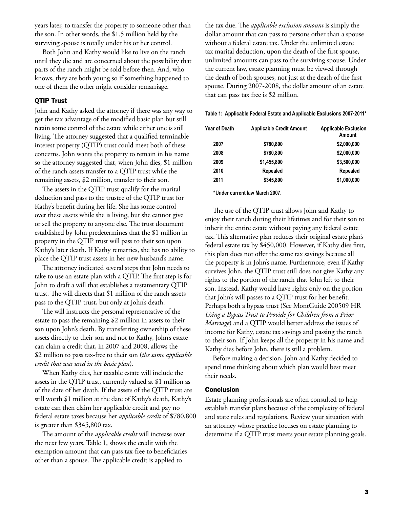years later, to transfer the property to someone other than the son. In other words, the \$1.5 million held by the surviving spouse is totally under his or her control.

Both John and Kathy would like to live on the ranch until they die and are concerned about the possibility that parts of the ranch might be sold before then. And, who knows, they are both young so if something happened to one of them the other might consider remarriage.

#### QTIP Trust

John and Kathy asked the attorney if there was any way to get the tax advantage of the modified basic plan but still retain some control of the estate while either one is still living. The attorney suggested that a qualified terminable interest property (QTIP) trust could meet both of these concerns. John wants the property to remain in his name so the attorney suggested that, when John dies, \$1 million of the ranch assets transfer to a QTIP trust while the remaining assets, \$2 million, transfer to their son.

The assets in the QTIP trust qualify for the marital deduction and pass to the trustee of the QTIP trust for Kathy's benefit during her life. She has some control over these assets while she is living, but she cannot give or sell the property to anyone else. The trust document established by John predetermines that the \$1 million in property in the QTIP trust will pass to their son upon Kathy's later death. If Kathy remarries, she has no ability to place the QTIP trust assets in her new husband's name.

The attorney indicated several steps that John needs to take to use an estate plan with a QTIP. The first step is for John to draft a will that establishes a testamentary QTIP trust. The will directs that \$1 million of the ranch assets pass to the QTIP trust, but only at John's death.

The will instructs the personal representative of the estate to pass the remaining \$2 million in assets to their son upon John's death. By transferring ownership of these assets directly to their son and not to Kathy, John's estate can claim a credit that, in 2007 and 2008, allows the \$2 million to pass tax-free to their son (*the same applicable credit that was used in the basic plan*).

When Kathy dies, her taxable estate will include the assets in the QTIP trust, currently valued at \$1 million as of the date of her death. If the assets of the QTIP trust are still worth \$1 million at the date of Kathy's death, Kathy's estate can then claim her applicable credit and pay no federal estate taxes because her *applicable credit* of \$780,800 is greater than \$345,800 tax.

The amount of the *applicable credit* will increase over the next few years. Table 1, shows the credit with the exemption amount that can pass tax-free to beneficiaries other than a spouse. The applicable credit is applied to

the tax due. The *applicable exclusion amount* is simply the dollar amount that can pass to persons other than a spouse without a federal estate tax. Under the unlimited estate tax marital deduction, upon the death of the first spouse, unlimited amounts can pass to the surviving spouse. Under the current law, estate planning must be viewed through the death of both spouses, not just at the death of the first spouse. During 2007-2008, the dollar amount of an estate that can pass tax free is \$2 million.

#### **Table 1: Applicable Federal Estate and Applicable Exclusions 2007-2011\***

| Year of Death | <b>Applicable Credit Amount</b> | <b>Applicable Exclusion</b><br>Amount |
|---------------|---------------------------------|---------------------------------------|
| 2007          | \$780,800                       | \$2,000,000                           |
| 2008          | \$780,800                       | \$2,000,000                           |
| 2009          | \$1,455,800                     | \$3,500,000                           |
| 2010          | <b>Repealed</b>                 | Repealed                              |
| 2011          | \$345,800                       | \$1,000,000                           |
|               |                                 |                                       |

**\*Under current law March 2007.**

The use of the QTIP trust allows John and Kathy to enjoy their ranch during their lifetimes and for their son to inherit the entire estate without paying any federal estate tax. This alternative plan reduces their original estate plan's federal estate tax by \$450,000. However, if Kathy dies first, this plan does not offer the same tax savings because all the property is in John's name. Furthermore, even if Kathy survives John, the QTIP trust still does not give Kathy any rights to the portion of the ranch that John left to their son. Instead, Kathy would have rights only on the portion that John's will passes to a QTIP trust for her benefit. Perhaps both a bypass trust (See MontGuide 200509 HR *Using a Bypass Trust to Provide for Children from a Prior Marriage*) and a QTIP would better address the issues of income for Kathy, estate tax savings and passing the ranch to their son. If John keeps all the property in his name and Kathy dies before John, there is still a problem.

Before making a decision, John and Kathy decided to spend time thinking about which plan would best meet their needs.

#### **Conclusion**

Estate planning professionals are often consulted to help establish transfer plans because of the complexity of federal and state rules and regulations. Review your situation with an attorney whose practice focuses on estate planning to determine if a QTIP trust meets your estate planning goals.